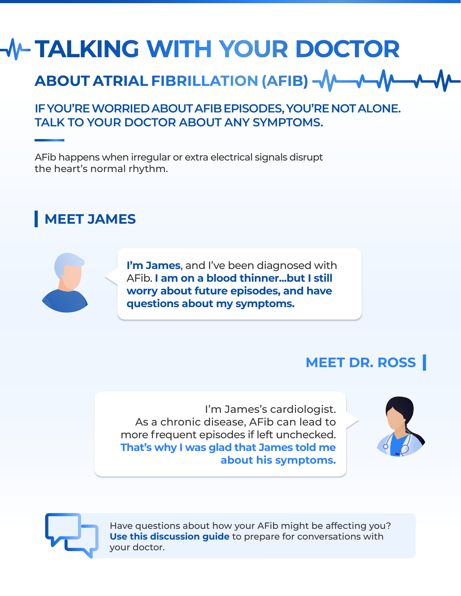# **TALKING WITH YOUR DOCTOR**

# **ABOUT ATRIAL FIBRILLATION (AFIB)**

### **IF YOU'RE WORRIED ABOUT AFIB EPISODES, YOU'RE NOT ALONE. TALK TO YOUR DOCTOR ABOUT ANY SYMPTOMS.**

AFib happens when irregular or extra electrical signals disrupt the heart's normal rhythm.

### **MEET JAMES**



**I'm James, and I've been diagnosed with** AFib. **I am on a blood thinner...but I still worry about future episodes, and have questions about my symptoms.** 

### **MEET DR. ROSS**

I'm James's cardiologist. As a chronic disease, AFib can lead to more frequent episodes if left unchecked. **That's why I was glad that James told me about his symptoms.**





Have questions about how your AFib might be affecting you? **Use this discussion guide** to prepare for conversations with your doctor.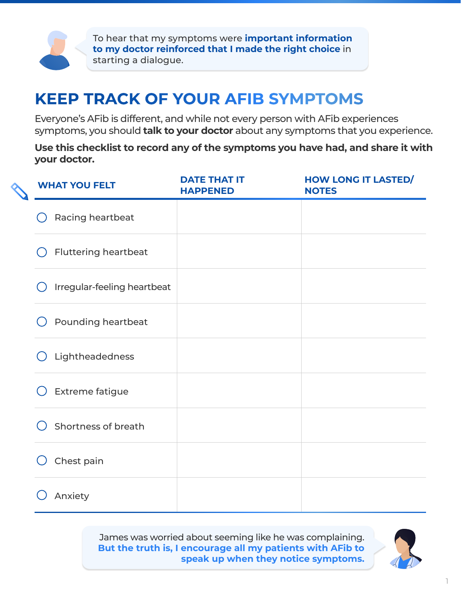

To hear that my symptoms were **important information to my doctor reinforced that I made the right choice** in starting a dialogue.

### **KEEP TRACK OF YOUR AFIB SYMPTOMS**

Everyone's AFib is different, and while not every person with AFib experiences symptoms, you should **talk to your doctor** about any symptoms that you experience.

**Use this checklist to record any of the symptoms you have had, and share it with your doctor.**

| <b>WHAT YOU FELT</b>        | <b>DATE THAT IT</b><br><b>HAPPENED</b> | <b>HOW LONG IT LASTED/</b><br><b>NOTES</b> |
|-----------------------------|----------------------------------------|--------------------------------------------|
| Racing heartbeat            |                                        |                                            |
| <b>Fluttering heartbeat</b> |                                        |                                            |
| Irregular-feeling heartbeat |                                        |                                            |
| Pounding heartbeat          |                                        |                                            |
| Lightheadedness             |                                        |                                            |
| <b>Extreme fatigue</b>      |                                        |                                            |
| Shortness of breath         |                                        |                                            |
| Chest pain                  |                                        |                                            |
| Anxiety                     |                                        |                                            |

James was worried about seeming like he was complaining. **But the truth is, I encourage all my patients with AFib to speak up when they notice symptoms.**

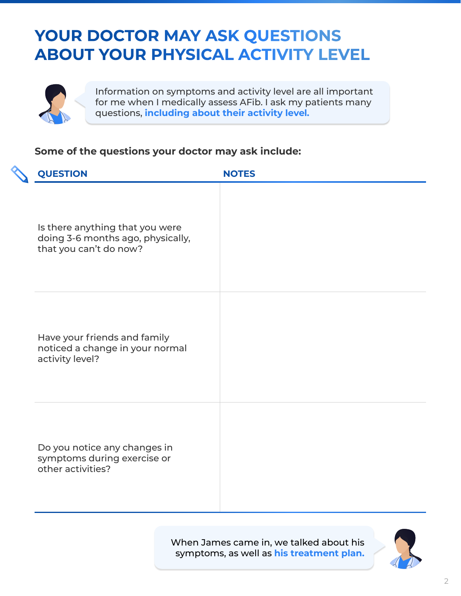## **YOUR DOCTOR MAY ASK QUESTIONS ABOUT YOUR PHYSICAL ACTIVITY LEVEL**



Information on symptoms and activity level are all important for me when I medically assess AFib. I ask my patients many questions, **including about their activity level.**

#### **Some of the questions your doctor may ask include:**

| <b>QUESTION</b>                                                                                | <b>NOTES</b> |
|------------------------------------------------------------------------------------------------|--------------|
| Is there anything that you were<br>doing 3-6 months ago, physically,<br>that you can't do now? |              |
| Have your friends and family<br>noticed a change in your normal<br>activity level?             |              |
| Do you notice any changes in<br>symptoms during exercise or<br>other activities?               |              |

When James came in, we talked about his symptoms, as well as **his treatment plan.**

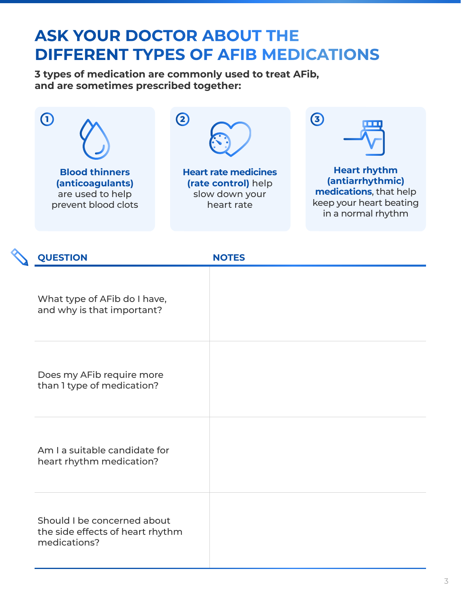## **ASK YOUR DOCTOR ABOUT THE DIFFERENT TYPES OF AFIB MEDICATIONS**

**3 types of medication are commonly used to treat AFib, and are sometimes prescribed together:**



| <b>QUESTION</b>                                                                 | <b>NOTES</b> |
|---------------------------------------------------------------------------------|--------------|
| What type of AFib do I have,<br>and why is that important?                      |              |
| Does my AFib require more<br>than I type of medication?                         |              |
| Am I a suitable candidate for<br>heart rhythm medication?                       |              |
| Should I be concerned about<br>the side effects of heart rhythm<br>medications? |              |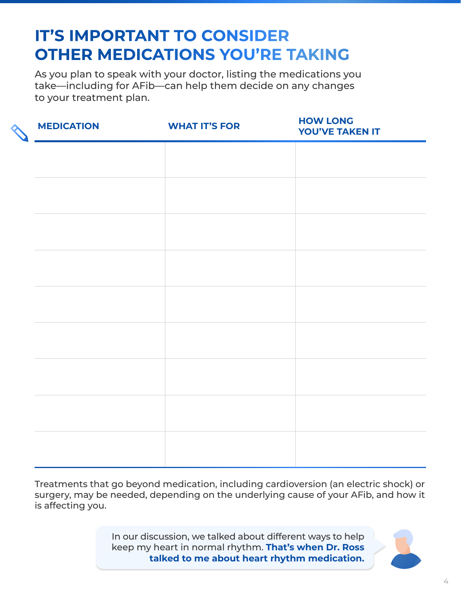# **IT'S IMPORTANT TO CONSIDER OTHER MEDICATIONS YOU'RE TAKING**

As you plan to speak with your doctor, listing the medications you take—including for AFib—can help them decide on any changes to your treatment plan.

| <b>MEDICATION</b> | <b>WHAT IT'S FOR</b> | <b>HOW LONG</b><br><b>YOU'VE TAKEN IT</b> |
|-------------------|----------------------|-------------------------------------------|
|                   |                      |                                           |
|                   |                      |                                           |
|                   |                      |                                           |
|                   |                      |                                           |
|                   |                      |                                           |
|                   |                      |                                           |
|                   |                      |                                           |
|                   |                      |                                           |
|                   |                      |                                           |
|                   |                      |                                           |
|                   |                      |                                           |

Treatments that go beyond medication, including cardioversion (an electric shock) or surgery, may be needed, depending on the underlying cause of your AFib, and how it is affecting you.

> In our discussion, we talked about different ways to help keep my heart in normal rhythm. **That's when Dr. Ross talked to me about heart rhythm medication.**

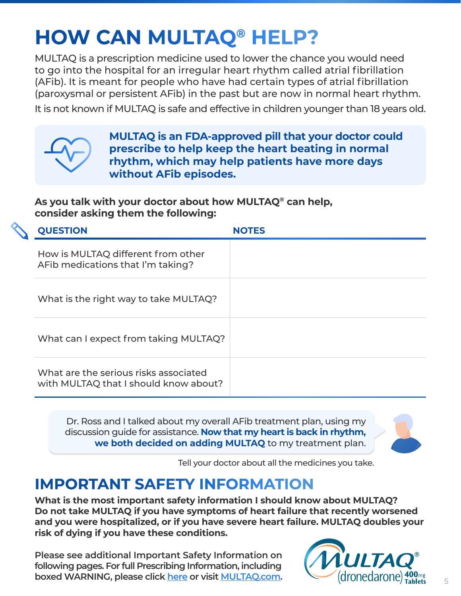# **HOW CAN MULTAQ® HELP?**

MULTAQ is a prescription medicine used to lower the chance you would need to go into the hospital for an irregular heart rhythm called atrial fibrillation (AFib). It is meant for people who have had certain types of atrial fibrillation (paroxysmal or persistent AFib) in the past but are now in normal heart rhythm.

It is not known if MULTAQ is safe and effective in children younger than 18 years old.



**MULTAQ is an FDA-approved pill that your doctor could prescribe to help keep the heart beating in normal rhythm, which may help patients have more days without AFib episodes.**

**As you talk with your doctor about how MULTAQ® can help, consider asking them the following:**

|  | <b>QUESTION</b>                                                                | <b>NOTES</b> |
|--|--------------------------------------------------------------------------------|--------------|
|  | How is MULTAQ different from other<br>AFib medications that I'm taking?        |              |
|  | What is the right way to take MULTAQ?                                          |              |
|  | What can I expect from taking MULTAQ?                                          |              |
|  | What are the serious risks associated<br>with MULTAQ that I should know about? |              |

Dr. Ross and I talked about my overall AFib treatment plan, using my discussion guide for assistance. **Now that my heart is back in rhythm, we both decided on adding MULTAQ** to my treatment plan.



Tell your doctor about all the medicines you take.

### **IMPORTANT SAFETY INFORMATION**

**What is the most important safety information I should know about MULTAQ? Do not take MULTAQ if you have symptoms of heart failure that recently worsened and you were hospitalized, or if you have severe heart failure. MULTAQ doubles your risk of dying if you have these conditions.** 

**Please see additional Important Safety Information on following pages. For full Prescribing Information, including boxed WARNING, please click [here](http://products.sanofi.us/multaq/multaq.html) or visit [MULTAQ.com.](https://www.multaq.com/)**

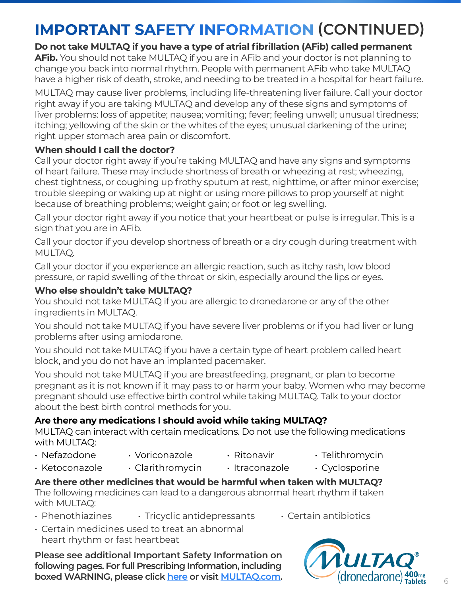# **IMPORTANT SAFETY INFORMATION (CONTINUED)**

**Do not take MULTAQ if you have a type of atrial fibrillation (AFib) called permanent AFib.** You should not take MULTAQ if you are in AFib and your doctor is not planning to change you back into normal rhythm. People with permanent AFib who take MULTAQ have a higher risk of death, stroke, and needing to be treated in a hospital for heart failure.

MULTAQ may cause liver problems, including life-threatening liver failure. Call your doctor right away if you are taking MULTAQ and develop any of these signs and symptoms of liver problems: loss of appetite; nausea; vomiting; fever; feeling unwell; unusual tiredness; itching; yellowing of the skin or the whites of the eyes; unusual darkening of the urine; right upper stomach area pain or discomfort.

#### **When should I call the doctor?**

Call your doctor right away if you're taking MULTAQ and have any signs and symptoms of heart failure. These may include shortness of breath or wheezing at rest; wheezing, chest tightness, or coughing up frothy sputum at rest, nighttime, or after minor exercise; trouble sleeping or waking up at night or using more pillows to prop yourself at night because of breathing problems; weight gain; or foot or leg swelling.

Call your doctor right away if you notice that your heartbeat or pulse is irregular. This is a sign that you are in AFib.

Call your doctor if you develop shortness of breath or a dry cough during treatment with MULTAQ.

Call your doctor if you experience an allergic reaction, such as itchy rash, low blood pressure, or rapid swelling of the throat or skin, especially around the lips or eyes.

#### **Who else shouldn't take MULTAQ?**

You should not take MULTAQ if you are allergic to dronedarone or any of the other ingredients in MULTAQ.

You should not take MULTAQ if you have severe liver problems or if you had liver or lung problems after using amiodarone.

You should not take MULTAQ if you have a certain type of heart problem called heart block, and you do not have an implanted pacemaker.

You should not take MULTAQ if you are breastfeeding, pregnant, or plan to become pregnant as it is not known if it may pass to or harm your baby. Women who may become pregnant should use effective birth control while taking MULTAQ. Talk to your doctor about the best birth control methods for you.

#### **Are there any medications I should avoid while taking MULTAQ?**

MULTAQ can interact with certain medications. Do not use the following medications with MULTAQ:

- Nefazodone
- Voriconazole
- Ritonavir
- Telithromycin
- Ketoconazole
- 
- 
- 
- 
- Itraconazole
- Cyclosporine
- Clarithromycin
	-

**Are there other medicines that would be harmful when taken with MULTAQ?** The following medicines can lead to a dangerous abnormal heart rhythm if taken with MULTAQ:

- Phenothiazines  $\cdot$  Tricyclic antidepressants  $\cdot$  Certain antibiotics
- Certain medicines used to treat an abnormal heart rhythm or fast heartbeat

**Please see additional Important Safety Information on following pages. For full Prescribing Information, including boxed WARNING, please click [here](http://products.sanofi.us/multaq/multaq.html) or visit [MULTAQ.com.](https://www.multaq.com/)**